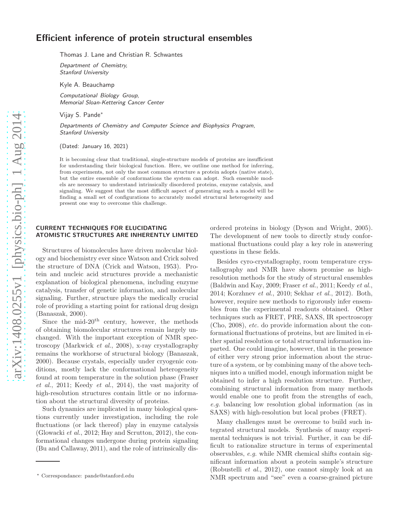# Efficient inference of protein structural ensembles

Thomas J. Lane and Christian R. Schwantes

Department of Chemistry, Stanford University

Kyle A. Beauchamp

Computational Biology Group, Memorial Sloan-Kettering Cancer Center

Vijay S. Pande<sup>∗</sup>

Departments of Chemistry and Computer Science and Biophysics Program, Stanford University

(Dated: January 16, 2021)

It is becoming clear that traditional, single-structure models of proteins are insufficient for understanding their biological function. Here, we outline one method for inferring, from experiments, not only the most common structure a protein adopts (native state), but the entire ensemble of conformations the system can adopt. Such ensemble models are necessary to understand intrinsically disordered proteins, enzyme catalysis, and signaling. We suggest that the most difficult aspect of generating such a model will be finding a small set of configurations to accurately model structural heterogeneity and present one way to overcome this challenge.

### CURRENT TECHNIQUES FOR ELUCIDATING ATOMISTIC STRUCTURES ARE INHERENTLY LIMITED

Structures of biomolecules have driven molecular biology and biochemistry ever since Watson and Crick solved the structure of DNA (Crick and Watson, 1953). Protein and nucleic acid structures provide a mechanistic explanation of biological phenomena, including enzyme catalysis, transfer of genetic information, and molecular signaling. Further, structure plays the medically crucial role of providing a starting point for rational drug design (Banaszak, 2000).

Since the mid- $20<sup>th</sup>$  century, however, the methods of obtaining biomolecular structures remain largely unchanged. With the important exception of NMR spectroscopy (Markwick et al., 2008), x-ray crystallography remains the workhorse of structural biology (Banaszak, 2000). Because crystals, especially under cryogenic conditions, mostly lack the conformational heterogeneity found at room temperature in the solution phase (Fraser et al., 2011; Keedy et al., 2014), the vast majority of high-resolution structures contain little or no information about the structural diversity of proteins.

Such dynamics are implicated in many biological questions currently under investigation, including the role fluctuations (or lack thereof) play in enzyme catalysis (Glowacki et al., 2012; Hay and Scrutton, 2012), the conformational changes undergone during protein signaling (Bu and Callaway, 2011), and the role of intrinsically disordered proteins in biology (Dyson and Wright, 2005). The development of new tools to directly study conformational fluctuations could play a key role in answering questions in these fields.

Besides cyro-crystallography, room temperature crystallography and NMR have shown promise as highresolution methods for the study of structural ensembles (Baldwin and Kay, 2009; Fraser et al., 2011; Keedy et al., 2014; Korzhnev et al., 2010; Sekhar et al., 2012). Both, however, require new methods to rigorously infer ensembles from the experimental readouts obtained. Other techniques such as FRET, PRE, SAXS, IR spectroscopy (Cho, 2008), etc. do provide information about the conformational fluctuations of proteins, but are limited in either spatial resolution or total structural information imparted. One could imagine, however, that in the presence of either very strong prior information about the structure of a system, or by combining many of the above techniques into a unified model, enough information might be obtained to infer a high resolution structure. Further, combining structural information from many methods would enable one to profit from the strengths of each, e.g. balancing low resolution global information (as in SAXS) with high-resolution but local probes (FRET).

Many challenges must be overcome to build such integrated structural models. Synthesis of many experimental techniques is not trivial. Further, it can be difficult to rationalize structure in terms of experimental observables, e.g. while NMR chemical shifts contain significant information about a protein sample's structure (Robustelli et al., 2012), one cannot simply look at an NMR spectrum and "see" even a coarse-grained picture

<sup>∗</sup> Correspondance: pande@stanford.edu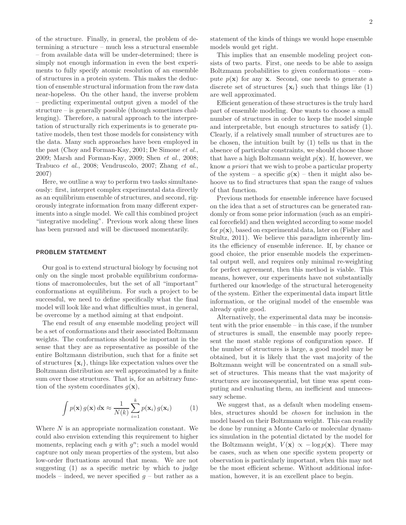of the structure. Finally, in general, the problem of determining a structure – much less a structural ensemble – from available data will be under-determined; there is simply not enough information in even the best experiments to fully specify atomic resolution of an ensemble of structures in a protein system. This makes the deduction of ensemble structural information from the raw data near-hopeless. On the other hand, the inverse problem – predicting experimental output given a model of the structure – is generally possible (though sometimes challenging). Therefore, a natural approach to the interpretation of structurally rich experiments is to generate putative models, then test those models for consistency with the data. Many such approaches have been employed in the past (Choy and Forman-Kay, 2001; De Simone et al., 2009; Marsh and Forman-Kay, 2009; Shen et al., 2008; Trabuco et al., 2008; Vendruscolo, 2007; Zhang et al., 2007)

Here, we outline a way to perform two tasks simultaneously: first, interpret complex experimental data directly as an equilibrium ensemble of structures, and second, rigorously integrate information from many different experiments into a single model. We call this combined project "integrative modeling". Previous work along these lines has been pursued and will be discussed momentarily.

### PROBLEM STATEMENT

Our goal is to extend structural biology by focusing not only on the single most probable equilibrium conformations of macromolecules, but the set of all "important" conformations at equilibrium. For such a project to be successful, we need to define specifically what the final model will look like and what difficulties must, in general, be overcome by a method aiming at that endpoint.

The end result of any ensemble modeling project will be a set of conformations and their associated Boltzmann weights. The conformations should be important in the sense that they are as representative as possible of the entire Boltzmann distribution, such that for a finite set of structures  $\{x_i\}$ , things like expectation values over the Boltzmann distribution are well approximated by a finite sum over those structures. That is, for an arbitrary function of the system coordinates  $g(\mathbf{x})$ ,

$$
\int p(\mathbf{x}) g(\mathbf{x}) dx \approx \frac{1}{N(k)} \sum_{i=1}^{k} p(\mathbf{x}_i) g(\mathbf{x}_i)
$$
 (1)

Where N is an appropriate normalization constant. We could also envision extending this requirement to higher moments, replacing each  $g$  with  $g^n$ ; such a model would capture not only mean properties of the system, but also low-order fluctuations around that mean. We are not suggesting (1) as a specific metric by which to judge models – indeed, we never specified  $q$  – but rather as a statement of the kinds of things we would hope ensemble models would get right.

This implies that an ensemble modeling project consists of two parts. First, one needs to be able to assign Boltzmann probabilities to given conformations – compute  $p(x)$  for any x. Second, one needs to generate a discrete set of structures  $\{x_i\}$  such that things like (1) are well approximated.

Efficient generation of these structures is the truly hard part of ensemble modeling. One wants to choose a small number of structures in order to keep the model simple and interpretable, but enough structures to satisfy (1). Clearly, if a relatively small number of structures are to be chosen, the intuition built by (1) tells us that in the absence of particular constraints, we should choose those that have a high Boltzmann weight  $p(x)$ . If, however, we know a priori that we wish to probe a particular property of the system – a specific  $g(\mathbf{x})$  – then it might also behoove us to find structures that span the range of values of that function.

Previous methods for ensemble inference have focused on the idea that a set of structures can be generated randomly or from some prior information (such as an empirical forcefield) and then weighted according to some model for  $p(x)$ , based on experimental data, later on (Fisher and Stultz, 2011). We believe this paradigm inherently limits the efficiency of ensemble inference. If, by chance or good choice, the prior ensemble models the experimental output well, and requires only minimal re-weighting for perfect agreement, then this method is viable. This means, however, our experiments have not substantially furthered our knowledge of the structural heterogeneity of the system. Either the experimental data impart little information, or the original model of the ensemble was already quite good.

Alternatively, the experimental data may be inconsistent with the prior ensemble – in this case, if the number of structures is small, the ensemble may poorly represent the most stable regions of configuration space. If the number of structures is large, a good model may be obtained, but it is likely that the vast majority of the Boltzmann weight will be concentrated on a small subset of structures. This means that the vast majority of structures are inconsequential, but time was spent computing and evaluating them, an inefficient and unnecessary scheme.

We suggest that, as a default when modeling ensembles, structures should be chosen for inclusion in the model based on their Boltzmann weight. This can readily be done by running a Monte Carlo or molecular dynamics simulation in the potential dictated by the model for the Boltzmann weight,  $V(\mathbf{x}) \propto -\log p(\mathbf{x})$ . There may be cases, such as when one specific system property or observation is particularly important, when this may not be the most efficient scheme. Without additional information, however, it is an excellent place to begin.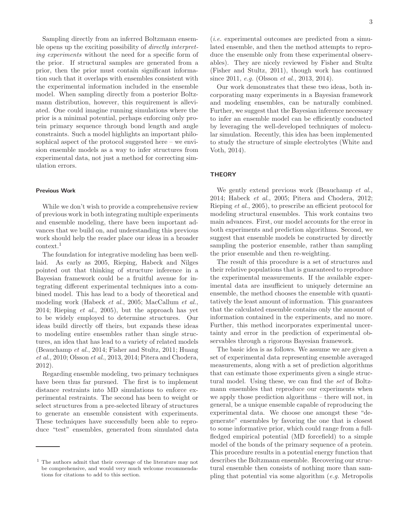Sampling directly from an inferred Boltzmann ensemble opens up the exciting possibility of *directly interpret*ing experiments without the need for a specific form of the prior. If structural samples are generated from a prior, then the prior must contain significant information such that it overlaps with ensembles consistent with the experimental information included in the ensemble model. When sampling directly from a posterior Boltzmann distribution, however, this requirement is alleviated. One could imagine running simulations where the prior is a minimal potential, perhaps enforcing only protein primary sequence through bond length and angle constraints. Such a model highlights an important philosophical aspect of the protocol suggested here – we envision ensemble models as a way to infer structures from experimental data, not just a method for correcting simulation errors.

### Previous Work

While we don't wish to provide a comprehensive review of previous work in both integrating multiple experiments and ensemble modeling, there have been important advances that we build on, and understanding this previous work should help the reader place our ideas in a broader context.<sup>1</sup>

The foundation for integrative modeling has been welllaid. As early as 2005, Rieping, Habeck and Nilges pointed out that thinking of structure inference in a Bayesian framework could be a fruitful avenue for integrating different experimental techniques into a combined model. This has lead to a body of theoretical and modeling work (Habeck et al., 2005; MacCallum et al., 2014; Rieping et al., 2005), but the approach has yet to be widely employed to determine structures. Our ideas build directly off theirs, but expands these ideas to modeling entire ensembles rather than single structures, an idea that has lead to a variety of related models (Beauchamp et al., 2014; Fisher and Stultz, 2011; Huang et al., 2010; Olsson et al., 2013, 2014; Pitera and Chodera, 2012).

Regarding ensemble modeling, two primary techniques have been thus far pursued. The first is to implement distance restraints into MD simulations to enforce experimental restraints. The second has been to weight or select structures from a pre-selected library of structures to generate an ensemble consistent with experiments. These techniques have successfully been able to reproduce "test" ensembles, generated from simulated data

(i.e. experimental outcomes are predicted from a simulated ensemble, and then the method attempts to reproduce the ensemble only from these experimental observables). They are nicely reviewed by Fisher and Stultz (Fisher and Stultz, 2011), though work has continued since 2011, *e.g.* (Olsson *et al.*, 2013, 2014).

Our work demonstrates that these two ideas, both incorporating many experiments in a Bayesian framework and modeling ensembles, can be naturally combined. Further, we suggest that the Bayesian inference necessary to infer an ensemble model can be efficiently conducted by leveraging the well-developed techniques of molecular simulation. Recently, this idea has been implemented to study the structure of simple electrolytes (White and Voth, 2014).

### **THEORY**

We gently extend previous work (Beauchamp et al., 2014; Habeck et al., 2005; Pitera and Chodera, 2012; Rieping et al., 2005), to prescribe an efficient protocol for modeling structural ensembles. This work contains two main advances. First, our model accounts for the error in both experiments and prediction algorithms. Second, we suggest that ensemble models be constructed by directly sampling the posterior ensemble, rather than sampling the prior ensemble and then re-weighting.

The result of this procedure is a set of structures and their relative populations that is guaranteed to reproduce the experimental measurements. If the available experimental data are insufficient to uniquely determine an ensemble, the method chooses the ensemble with quantitatively the least amount of information. This guarantees that the calculated ensemble contains only the amount of information contained in the experiments, and no more. Further, this method incorporates experimental uncertainty and error in the prediction of experimental observables through a rigorous Bayesian framework.

The basic idea is as follows. We assume we are given a set of experimental data representing ensemble averaged measurements, along with a set of prediction algorithms that can estimate those experiments given a single structural model. Using these, we can find the set of Boltzmann ensembles that reproduce our experiments when we apply those prediction algorithms – there will not, in general, be a unique ensemble capable of reproducing the experimental data. We choose one amongst these "degenerate" ensembles by favoring the one that is closest to some informative prior, which could range from a fullfledged empirical potential (MD forcefield) to a simple model of the bonds of the primary sequence of a protein. This procedure results in a potential energy function that describes the Boltzmann ensemble. Recovering our structural ensemble then consists of nothing more than sampling that potential via some algorithm (e.g. Metropolis

<sup>1</sup> The authors admit that their coverage of the literature may not be comprehensive, and would very much welcome recommendations for citations to add to this section.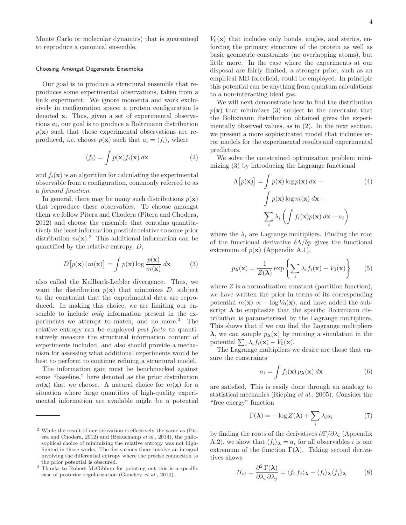#### Choosing Amongst Degenerate Ensembles

Our goal is to produce a structural ensemble that reproduces some experimental observations, taken from a bulk experiment. We ignore momenta and work exclusively in configuration space; a protein configuration is denoted x. Thus, given a set of experimental observations  $a_i$ , our goal is to produce a Boltzmann distribution  $p(\mathbf{x})$  such that those experimental observations are reproduced, *i.e.* choose  $p(\mathbf{x})$  such that  $a_i = \langle f_i \rangle$ , where

$$
\langle f_i \rangle = \int p(\mathbf{x}) f_i(\mathbf{x}) \, d\mathbf{x} \tag{2}
$$

and  $f_i(\mathbf{x})$  is an algorithm for calculating the experimental observable from a configuration, commonly referred to as a forward function.

In general, there may be many such distributions  $p(\mathbf{x})$ that reproduce these observables. To choose amongst them we follow Pitera and Chodera (Pitera and Chodera, 2012) and choose the ensemble that contains quantitatively the least information possible relative to some prior distribution  $m(\mathbf{x})$ .<sup>2</sup> This additional information can be quantified by the relative entropy, D,

$$
D\big[p(\mathbf{x})||m(\mathbf{x})\big] = \int p(\mathbf{x})\log\frac{p(\mathbf{x})}{m(\mathbf{x})}d\mathbf{x}
$$
 (3)

also called the Kullback-Leibler divergence. Thus, we want the distribution  $p(x)$  that minimizes D, subject to the constraint that the experimental data are reproduced. In making this choice, we are limiting our ensemble to include only information present in the experiments we attempt to match, and no more.<sup>3</sup> The relative entropy can be employed post facto to quantitatively measure the structural information content of experiments included, and also should provide a mechanism for assessing what additional experiments would be best to perform to continue refining a structural model.

The information gain must be benchmarked against some "baseline," here denoted as the prior distribution  $m(\mathbf{x})$  that we choose. A natural choice for  $m(\mathbf{x})$  for a situation where large quantities of high-quality experimental information are available might be a potential

 $V_0(\mathbf{x})$  that includes only bonds, angles, and sterics, enforcing the primary structure of the protein as well as basic geometric constraints (no overlapping atoms), but little more. In the case where the experiments at our disposal are fairly limited, a stronger prior, such as an empirical MD forcefield, could be employed. In principle this potential can be anything from quantum calculations to a non-interacting ideal gas.

We will next demonstrate how to find the distribution  $p(x)$  that minimizes (3) subject to the constraint that the Boltzmann distribution obtained gives the experimentally observed values, as in (2). In the next section, we present a more sophisticated model that includes error models for the experimental results and experimental predictors.

We solve the constrained optimization problem minimizing (3) by introducing the Lagrange functional

$$
\Lambda[p(\mathbf{x})] = \int p(\mathbf{x}) \log p(\mathbf{x}) d\mathbf{x} -
$$
\n
$$
\int p(\mathbf{x}) \log m(\mathbf{x}) d\mathbf{x} -
$$
\n
$$
\sum_{i} \lambda_{i} \left( \int f_{i}(\mathbf{x}) p(\mathbf{x}) d\mathbf{x} - a_{i} \right)
$$
\n(4)

where the  $\lambda_i$  are Lagrange multipliers. Finding the root of the functional derivative  $\delta \Lambda / \delta p$  gives the functional extremum of  $p(x)$  (Appendix A.1),

$$
p_{\lambda}(\mathbf{x}) = \frac{1}{Z(\lambda)} \exp\left\{ \sum_{i} \lambda_{i} f_{i}(\mathbf{x}) - V_{0}(\mathbf{x}) \right\} \qquad (5)
$$

where  $Z$  is a normalization constant (partition function), we have written the prior in terms of its corresponding potential  $m(\mathbf{x}) \propto -\log V_0(\mathbf{x})$ , and have added the subscript  $\lambda$  to emphasize that the specific Boltzmann distribution is parameterized by the Lagrange multipliers. This shows that if we can find the Lagrange multipliers  $\lambda$ , we can sample  $p_{\lambda}(\mathbf{x})$  by running a simulation in the potential  $\sum_i \lambda_i f_i(\mathbf{x}) - V_0(\mathbf{x})$ .

The Lagrange multipliers we desire are those that ensure the constraints

$$
a_i = \int f_i(\mathbf{x}) \, p_\lambda(\mathbf{x}) \, d\mathbf{x} \tag{6}
$$

are satisfied. This is easily done through an analogy to statistical mechanics (Rieping et al., 2005). Consider the "free energy" function

$$
\Gamma(\lambda) = -\log Z(\lambda) + \sum_{i} \lambda_i a_i \tag{7}
$$

by finding the roots of the derivatives  $\frac{\partial \Gamma}{\partial \lambda_i}$  (Appendix A.2), we show that  $\langle f_i \rangle_{\mathbf{\lambda}} = a_i$  for all observables i is one extremum of the function  $\Gamma(\lambda)$ . Taking second derivatives shows

$$
H_{ij} = \frac{\partial^2 \Gamma(\lambda)}{\partial \lambda_i \partial \lambda_j} = \langle f_i, f_j \rangle_{\lambda} - \langle f_i \rangle_{\lambda} \langle f_j \rangle_{\lambda}
$$
 (8)

<sup>2</sup> While the result of our derivation is effectively the same as (Pitera and Chodera, 2012) and (Beauchamp et al., 2014), the philosophical choice of minimizing the relative entropy was not highlighted in those works. The derivations there involve an integral involving the differential entropy where the precise connection to the prior potential is obscured.

<sup>3</sup> Thanks to Robert McGibbon for pointing out this is a specific case of posterior regularization (Ganchev et al., 2010).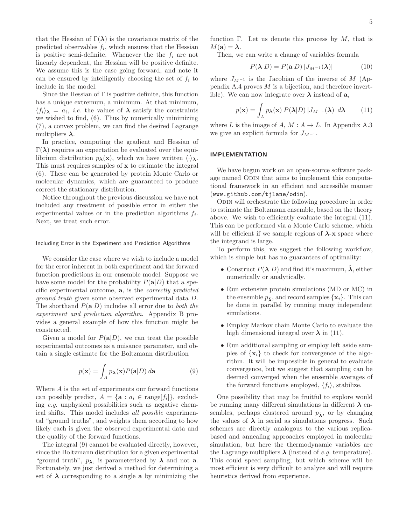that the Hessian of  $\Gamma(\lambda)$  is the covariance matrix of the predicted observables  $f_i$ , which ensures that the Hessian is positive semi-definite. Whenever the the  $f_i$  are not linearly dependent, the Hessian will be positive definite. We assume this is the case going forward, and note it can be ensured by intelligently choosing the set of  $f_i$  to include in the model.

Since the Hessian of  $\Gamma$  is positive definite, this function has a unique extremum, a minimum. At that minimum,  $\langle f_i \rangle_{\mathbf{\lambda}} = a_i$ , *i.e.* the values of  $\mathbf{\lambda}$  satisfy the constraints we wished to find, (6). Thus by numerically minimizing (7), a convex problem, we can find the desired Lagrange multipliers  $\lambda$ .

In practice, computing the gradient and Hessian of  $Γ(λ)$  requires an expectation be evaluated over the equilibrium distribution  $p_{\lambda}(\mathbf{x})$ , which we have written  $\langle \cdot \rangle_{\lambda}$ . This must requires samples of x to estimate the integral (6). These can be generated by protein Monte Carlo or molecular dynamics, which are guaranteed to produce correct the stationary distribution.

Notice throughout the previous discussion we have not included any treatment of possible error in either the experimental values or in the prediction algorithms  $f_i$ . Next, we treat such error.

#### Including Error in the Experiment and Prediction Algorithms

We consider the case where we wish to include a model for the error inherent in both experiment and the forward function predictions in our ensemble model. Suppose we have some model for the probability  $P(a|D)$  that a specific experimental outcome, a, is the correctly predicted ground truth given some observed experimental data D. The shorthand  $P(a|D)$  includes all error due to *both the* experiment and prediction algorithm. Appendix B provides a general example of how this function might be constructed.

Given a model for  $P(a|D)$ , we can treat the possible experimental outcomes as a nuisance parameter, and obtain a single estimate for the Boltzmann distribution

$$
p(\mathbf{x}) = \int_{A} p_{\mathbf{\lambda}}(\mathbf{x}) P(\mathbf{a}|D) \, d\mathbf{a}
$$
 (9)

Where A is the set of experiments our forward functions can possibly predict,  $A = {\mathbf{a} : a_i \in \text{range}[f_i]}$ , excluding e.g. unphysical possibilities such as negative chemical shifts. This model includes all possible experimental "ground truths", and weights them according to how likely each is given the observed experimental data and the quality of the forward functions.

The integral (9) cannot be evaluated directly, however, since the Boltzmann distribution for a given experimental "ground truth",  $p_{\lambda}$ , is parameterized by  $\lambda$  and not **a**. Fortunately, we just derived a method for determining a set of  $\lambda$  corresponding to a single **a** by minimizing the

function Γ. Let us denote this process by  $M$ , that is  $M(\mathbf{a}) = \lambda.$ 

Then, we can write a change of variables formula

$$
P(\lambda|D) = P(\mathbf{a}|D) |J_{M^{-1}}(\lambda)| \tag{10}
$$

where  $J_{M^{-1}}$  is the Jacobian of the inverse of M (Appendix A.4 proves  $M$  is a bijection, and therefore invertible). We can now integrate over  $\lambda$  instead of  $a$ ,

$$
p(\mathbf{x}) = \int_{L} p_{\lambda}(\mathbf{x}) P(\lambda|D) |J_{M^{-1}}(\lambda)| d\lambda \qquad (11)
$$

where L is the image of A,  $M : A \to L$ . In Appendix A.3 we give an explicit formula for  $J_{M^{-1}}$ .

### IMPLEMENTATION

We have begun work on an open-source software package named ODIN that aims to implement this computational framework in an efficient and accessible manner (www.github.com/tjlane/odin).

ODIN will orchestrate the following procedure in order to estimate the Boltzmann ensemble, based on the theory above. We wish to efficiently evaluate the integral (11). This can be performed via a Monte Carlo scheme, which will be efficient if we sample regions of  $\lambda$ -**x** space where the integrand is large.

To perform this, we suggest the following workflow, which is simple but has no guarantees of optimality:

- Construct  $P(\lambda|D)$  and find it's maximum,  $\hat{\lambda}$ , either numerically or analytically.
- Run extensive protein simulations (MD or MC) in the ensemble  $p_{\hat{\lambda}}$ , and record samples  $\{x_i\}$ . This can be done in parallel by running many independent simulations.
- Employ Markov chain Monte Carlo to evaluate the high dimensional integral over  $\lambda$  in (11).
- Run additional sampling or employ left aside samples of  $\{x_i\}$  to check for convergence of the algorithm. It will be impossible in general to evaluate convergence, but we suggest that sampling can be deemed converged when the ensemble averages of the forward functions employed,  $\langle f_i \rangle$ , stabilize.

One possibility that may be fruitful to explore would be running many different simulations in different  $\lambda$  ensembles, perhaps clustered around  $p_{\hat{\lambda}}$ , or by changing the values of  $\lambda$  in serial as simulations progress. Such schemes are directly analogous to the various replicabased and annealing approaches employed in molecular simulation, but here the thermodynamic variables are the Lagrange multipliers  $\lambda$  (instead of e.g. temperature). This could speed sampling, but which scheme will be most efficient is very difficult to analyze and will require heuristics derived from experience.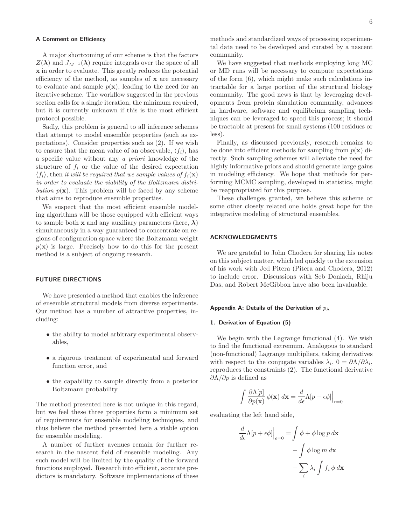### A Comment on Efficiency

A major shortcoming of our scheme is that the factors  $Z(\lambda)$  and  $J_{M^{-1}}(\lambda)$  require integrals over the space of all x in order to evaluate. This greatly reduces the potential efficiency of the method, as samples of  $x$  are necessary to evaluate and sample  $p(\mathbf{x})$ , leading to the need for an iterative scheme. The workflow suggested in the previous section calls for a single iteration, the minimum required, but it is currently unknown if this is the most efficient protocol possible.

Sadly, this problem is general to all inference schemes that attempt to model ensemble properties (such as expectations). Consider properties such as (2). If we wish to ensure that the mean value of an observable,  $\langle f_i \rangle$ , has a specific value without any a priori knowledge of the structure of  $f_i$  or the value of the desired expectation  $\langle f_i \rangle$ , then it will be required that we sample values of  $f_i(\mathbf{x})$ in order to evaluate the viability of the Boltzmann distribution  $p(x)$ . This problem will be faced by any scheme that aims to reproduce ensemble properties.

We suspect that the most efficient ensemble modeling algorithms will be those equipped with efficient ways to sample both **x** and any auxiliary parameters (here,  $\lambda$ ) simultaneously in a way guaranteed to concentrate on regions of configuration space where the Boltzmann weight  $p(x)$  is large. Precisely how to do this for the present method is a subject of ongoing research.

### FUTURE DIRECTIONS

We have presented a method that enables the inference of ensemble structural models from diverse experiments. Our method has a number of attractive properties, including:

- the ability to model arbitrary experimental observables,
- a rigorous treatment of experimental and forward function error, and
- the capability to sample directly from a posterior Boltzmann probability

The method presented here is not unique in this regard, but we feel these three properties form a minimum set of requirements for ensemble modeling techniques, and thus believe the method presented here a viable option for ensemble modeling.

A number of further avenues remain for further research in the nascent field of ensemble modeling. Any such model will be limited by the quality of the forward functions employed. Research into efficient, accurate predictors is mandatory. Software implementations of these

methods and standardized ways of processing experimental data need to be developed and curated by a nascent community.

We have suggested that methods employing long MC or MD runs will be necessary to compute expectations of the form (6), which might make such calculations intractable for a large portion of the structural biology community. The good news is that by leveraging developments from protein simulation community, advances in hardware, software and equilibrium sampling techniques can be leveraged to speed this process; it should be tractable at present for small systems (100 residues or less).

Finally, as discussed previously, research remains to be done into efficient methods for sampling from  $p(\mathbf{x})$  directly. Such sampling schemes will alleviate the need for highly informative priors and should generate large gains in modeling efficiency. We hope that methods for performing MCMC sampling, developed in statistics, might be reappropriated for this purpose.

These challenges granted, we believe this scheme or some other closely related one holds great hope for the integrative modeling of structural ensembles.

## ACKNOWLEDGMENTS

We are grateful to John Chodera for sharing his notes on this subject matter, which led quickly to the extension of his work with Jed Pitera (Pitera and Chodera, 2012) to include error. Discussions with Seb Doniach, Rhiju Das, and Robert McGibbon have also been invaluable.

#### Appendix A: Details of the Derivation of  $p_{\lambda}$

#### 1. Derivation of Equation (5)

We begin with the Lagrange functional (4). We wish to find the functional extremum. Analogous to standard (non-functional) Lagrange multipliers, taking derivatives with respect to the conjugate variables  $\lambda_i$ ,  $0 = \partial \Lambda / \partial \lambda_i$ , reproduces the constraints (2). The functional derivative  $\partial$ Λ/ $\partial$ *p* is defined as

$$
\int \frac{\partial \Lambda[p]}{\partial p(\mathbf{x})} \phi(\mathbf{x}) d\mathbf{x} = \frac{d}{d\epsilon} \Lambda[p + \epsilon \phi] \Big|_{\epsilon=0}
$$

evaluating the left hand side,

$$
\frac{d}{d\epsilon} \Lambda[p + \epsilon \phi] \Big|_{\epsilon=0} = \int \phi + \phi \log p \, d\mathbf{x}
$$

$$
- \int \phi \log m \, d\mathbf{x}
$$

$$
- \sum_{i} \lambda_{i} \int f_{i} \phi \, d\mathbf{x}
$$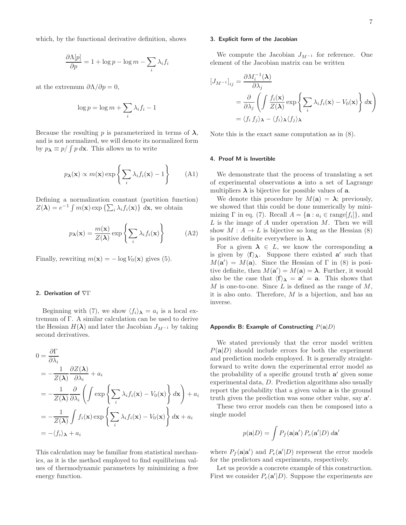which, by the functional derivative definition, shows

$$
\frac{\partial \Lambda[p]}{\partial p} = 1 + \log p - \log m - \sum_{i} \lambda_i f_i
$$

at the extremum  $\partial \Lambda / \partial p = 0$ ,

$$
\log p = \log m + \sum_{i} \lambda_i f_i - 1
$$

Because the resulting p is parameterized in terms of  $\lambda$ , and is not normalized, we will denote its normalized form by  $p_{\lambda} \equiv p / \int p \, d\mathbf{x}$ . This allows us to write

$$
p_{\boldsymbol{\lambda}}(\mathbf{x}) \propto m(\mathbf{x}) \exp\left\{ \sum_{i} \lambda_i f_i(\mathbf{x}) - 1 \right\} \tag{A1}
$$

Defining a normalization constant (partition function)  $Z(\lambda) = e^{-1} \int m(\mathbf{x}) \exp \left\{ \sum_i \lambda_i f_i(\mathbf{x}) \right\} d\mathbf{x}$ , we obtain

$$
p_{\lambda}(\mathbf{x}) = \frac{m(\mathbf{x})}{Z(\lambda)} \exp\left\{ \sum_{i} \lambda_{i} f_{i}(\mathbf{x}) \right\}
$$
 (A2)

Finally, rewriting  $m(\mathbf{x}) = -\log V_0(\mathbf{x})$  gives (5).

#### 2. Derivation of ∇Γ

Beginning with (7), we show  $\langle f_i \rangle_{\mathbf{\lambda}} = a_i$  is a local extremum of Γ. A similar calculation can be used to derive the Hessian  $H(\lambda)$  and later the Jacobian  $J_{M^{-1}}$  by taking second derivatives.

$$
0 = \frac{\partial \Gamma}{\partial \lambda_i}
$$
  
=  $-\frac{1}{Z(\lambda)} \frac{\partial Z(\lambda)}{\partial \lambda_i} + a_i$   
=  $-\frac{1}{Z(\lambda)} \frac{\partial}{\partial \lambda_i} \left( \int \exp \left\{ \sum_i \lambda_i f_i(\mathbf{x}) - V_0(\mathbf{x}) \right\} d\mathbf{x} \right) + a_i$   
=  $-\frac{1}{Z(\lambda)} \int f_i(\mathbf{x}) \exp \left\{ \sum_i \lambda_i f_i(\mathbf{x}) - V_0(\mathbf{x}) \right\} d\mathbf{x} + a_i$   
=  $-\langle f_i \rangle_{\lambda} + a_i$ 

This calculation may be familiar from statistical mechanics, as it is the method employed to find equilibrium values of thermodynamic parameters by minimizing a free energy function.

#### 3. Explicit form of the Jacobian

We compute the Jacobian  $J_{M^{-1}}$  for reference. One element of the Jacobian matrix can be written

$$
\begin{aligned} \left[J_{M^{-1}}\right]_{ij} &= \frac{\partial M_i^{-1}(\lambda)}{\partial \lambda_j} \\ &= \frac{\partial}{\partial \lambda_j} \left( \int \frac{f_i(\mathbf{x})}{Z(\lambda)} \exp\left\{ \sum_i \lambda_i f_i(\mathbf{x}) - V_0(\mathbf{x}) \right\} d\mathbf{x} \right) \\ &= \langle f_i \, f_j \rangle_\lambda - \langle f_i \rangle_\lambda \langle f_j \rangle_\lambda \end{aligned}
$$

Note this is the exact same computation as in (8).

#### 4. Proof M is Invertible

We demonstrate that the process of translating a set of experimental observations a into a set of Lagrange multipliers  $\lambda$  is bijective for possible values of **a**.

We denote this procedure by  $M(\mathbf{a}) = \lambda$ ; previously, we showed that this could be done numerically by minimizing  $\Gamma$  in eq. (7). Recall  $A = {\mathbf{a} : a_i \in \text{range}[f_i]}$ , and  $L$  is the image of  $A$  under operation  $M$ . Then we will show  $M : A \to L$  is bijective so long as the Hessian (8) is positive definite everywhere in  $\lambda$ .

For a given  $\lambda \in L$ , we know the corresponding a is given by  $\langle f \rangle_{\lambda}$ . Suppose there existed a' such that  $M(\mathbf{a}') = M(\mathbf{a})$ . Since the Hessian of  $\Gamma$  in (8) is positive definite, then  $M(\mathbf{a}') = M(\mathbf{a}) = \lambda$ . Further, it would also be the case that  $\langle f \rangle_{\lambda} = a' = a$ . This shows that M is one-to-one. Since  $L$  is defined as the range of  $M$ , it is also onto. Therefore, M is a bijection, and has an inverse.

### Appendix B: Example of Constructing  $P(a|D)$

We stated previously that the error model written  $P(a|D)$  should include errors for both the experiment and prediction models employed. It is generally straightforward to write down the experimental error model as the probability of a specific ground truth  $a'$  given some experimental data, D. Prediction algorithms also usually report the probability that a given value a is the ground truth given the prediction was some other value, say  $a'$ .

These two error models can then be composed into a single model

$$
p(\mathbf{a}|D) = \int P_f(\mathbf{a}|\mathbf{a}') P_e(\mathbf{a}'|D) \, d\mathbf{a}'
$$

where  $P_f(\mathbf{a}|\mathbf{a}')$  and  $P_e(\mathbf{a}'|D)$  represent the error models for the predictors and experiments, respectively.

Let us provide a concrete example of this construction. First we consider  $P_e(\mathbf{a}^{\prime}|D)$ . Suppose the experiments are